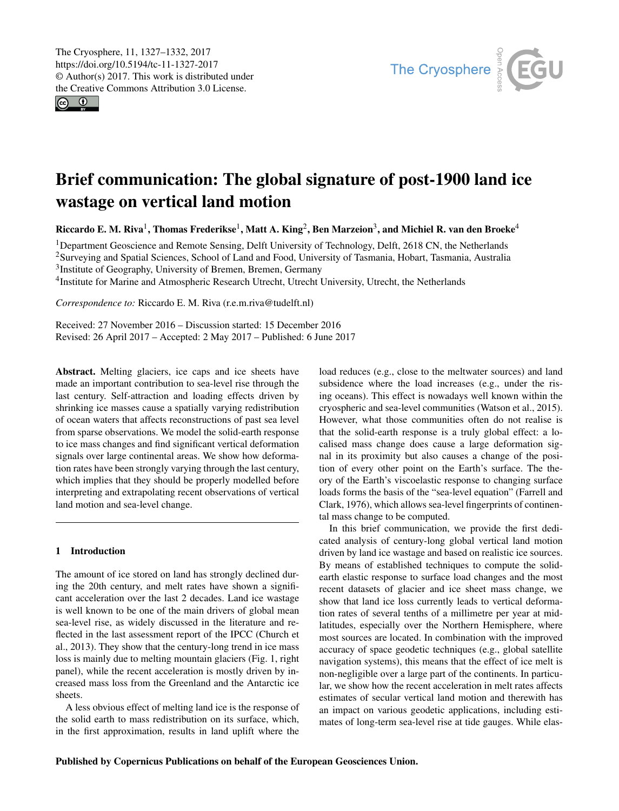<span id="page-0-1"></span> $\circledcirc$ 



# Brief communication: The global signature of post-1900 land ice wastage on vertical land motion

Riccardo E. M. Riva<sup>[1](#page-0-0)</sup>, Thomas Frederikse<sup>1</sup>, Matt A. King<sup>[2](#page-0-0)</sup>, Ben Marzeion<sup>[3](#page-0-0)</sup>, and Michiel R. van den Broeke<sup>[4](#page-0-0)</sup>

<sup>1</sup>Department Geoscience and Remote Sensing, Delft University of Technology, Delft, 2618 CN, the Netherlands <sup>2</sup>Surveying and Spatial Sciences, School of Land and Food, University of Tasmania, Hobart, Tasmania, Australia <sup>3</sup> Institute of Geography, University of Bremen, Bremen, Germany

<sup>4</sup>Institute for Marine and Atmospheric Research Utrecht, Utrecht University, Utrecht, the Netherlands

*Correspondence to:* Riccardo E. M. Riva (r.e.m.riva@tudelft.nl)

Received: 27 November 2016 – Discussion started: 15 December 2016 Revised: 26 April 2017 – Accepted: 2 May 2017 – Published: 6 June 2017

<span id="page-0-0"></span>Abstract. Melting glaciers, ice caps and ice sheets have made an important contribution to sea-level rise through the last century. Self-attraction and loading effects driven by shrinking ice masses cause a spatially varying redistribution of ocean waters that affects reconstructions of past sea level from sparse observations. We model the solid-earth response to ice mass changes and find significant vertical deformation signals over large continental areas. We show how deformation rates have been strongly varying through the last century, which implies that they should be properly modelled before interpreting and extrapolating recent observations of vertical land motion and sea-level change.

# 1 Introduction

The amount of ice stored on land has strongly declined during the 20th century, and melt rates have shown a significant acceleration over the last 2 decades. Land ice wastage is well known to be one of the main drivers of global mean sea-level rise, as widely discussed in the literature and reflected in the last assessment report of the IPCC (Church et al., 2013). They show that the century-long trend in ice mass loss is mainly due to melting mountain glaciers (Fig. 1, right panel), while the recent acceleration is mostly driven by increased mass loss from the Greenland and the Antarctic ice sheets.

A less obvious effect of melting land ice is the response of the solid earth to mass redistribution on its surface, which, in the first approximation, results in land uplift where the

load reduces (e.g., close to the meltwater sources) and land subsidence where the load increases (e.g., under the rising oceans). This effect is nowadays well known within the cryospheric and sea-level communities (Watson et al., 2015). However, what those communities often do not realise is that the solid-earth response is a truly global effect: a localised mass change does cause a large deformation signal in its proximity but also causes a change of the position of every other point on the Earth's surface. The theory of the Earth's viscoelastic response to changing surface loads forms the basis of the "sea-level equation" (Farrell and Clark, 1976), which allows sea-level fingerprints of continental mass change to be computed.

In this brief communication, we provide the first dedicated analysis of century-long global vertical land motion driven by land ice wastage and based on realistic ice sources. By means of established techniques to compute the solidearth elastic response to surface load changes and the most recent datasets of glacier and ice sheet mass change, we show that land ice loss currently leads to vertical deformation rates of several tenths of a millimetre per year at midlatitudes, especially over the Northern Hemisphere, where most sources are located. In combination with the improved accuracy of space geodetic techniques (e.g., global satellite navigation systems), this means that the effect of ice melt is non-negligible over a large part of the continents. In particular, we show how the recent acceleration in melt rates affects estimates of secular vertical land motion and therewith has an impact on various geodetic applications, including estimates of long-term sea-level rise at tide gauges. While elas-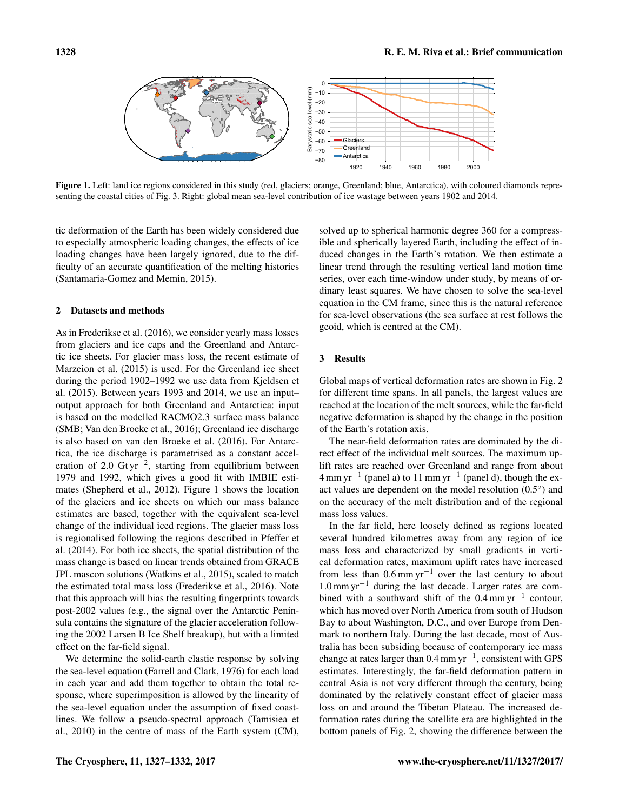

Figure 1. Left: land ice regions considered in this study (red, glaciers; orange, Greenland; blue, Antarctica), with coloured diamonds representing the coastal cities of Fig. 3. Right: global mean sea-level contribution of ice wastage between years 1902 and 2014.

tic deformation of the Earth has been widely considered due to especially atmospheric loading changes, the effects of ice loading changes have been largely ignored, due to the difficulty of an accurate quantification of the melting histories (Santamaria-Gomez and Memin, 2015).

# 2 Datasets and methods

As in Frederikse et al. (2016), we consider yearly mass losses from glaciers and ice caps and the Greenland and Antarctic ice sheets. For glacier mass loss, the recent estimate of Marzeion et al. (2015) is used. For the Greenland ice sheet during the period 1902–1992 we use data from Kjeldsen et al. (2015). Between years 1993 and 2014, we use an input– output approach for both Greenland and Antarctica: input is based on the modelled RACMO2.3 surface mass balance (SMB; Van den Broeke et al., 2016); Greenland ice discharge is also based on van den Broeke et al. (2016). For Antarctica, the ice discharge is parametrised as a constant acceleration of 2.0  $Gtyr^{-2}$ , starting from equilibrium between 1979 and 1992, which gives a good fit with IMBIE estimates (Shepherd et al., 2012). Figure 1 shows the location of the glaciers and ice sheets on which our mass balance estimates are based, together with the equivalent sea-level change of the individual iced regions. The glacier mass loss is regionalised following the regions described in Pfeffer et al. (2014). For both ice sheets, the spatial distribution of the mass change is based on linear trends obtained from GRACE JPL mascon solutions (Watkins et al., 2015), scaled to match the estimated total mass loss (Frederikse et al., 2016). Note that this approach will bias the resulting fingerprints towards post-2002 values (e.g., the signal over the Antarctic Peninsula contains the signature of the glacier acceleration following the 2002 Larsen B Ice Shelf breakup), but with a limited effect on the far-field signal.

We determine the solid-earth elastic response by solving the sea-level equation (Farrell and Clark, 1976) for each load in each year and add them together to obtain the total response, where superimposition is allowed by the linearity of the sea-level equation under the assumption of fixed coastlines. We follow a pseudo-spectral approach (Tamisiea et al., 2010) in the centre of mass of the Earth system (CM),

solved up to spherical harmonic degree 360 for a compressible and spherically layered Earth, including the effect of induced changes in the Earth's rotation. We then estimate a linear trend through the resulting vertical land motion time series, over each time-window under study, by means of ordinary least squares. We have chosen to solve the sea-level equation in the CM frame, since this is the natural reference for sea-level observations (the sea surface at rest follows the geoid, which is centred at the CM).

### 3 Results

Global maps of vertical deformation rates are shown in Fig. 2 for different time spans. In all panels, the largest values are reached at the location of the melt sources, while the far-field negative deformation is shaped by the change in the position of the Earth's rotation axis.

The near-field deformation rates are dominated by the direct effect of the individual melt sources. The maximum uplift rates are reached over Greenland and range from about  $4 \text{ mm yr}^{-1}$  (panel a) to 11 mm yr<sup>-1</sup> (panel d), though the exact values are dependent on the model resolution (0.5◦ ) and on the accuracy of the melt distribution and of the regional mass loss values.

In the far field, here loosely defined as regions located several hundred kilometres away from any region of ice mass loss and characterized by small gradients in vertical deformation rates, maximum uplift rates have increased from less than  $0.6$  mm yr<sup>-1</sup> over the last century to about  $1.0$  mm yr<sup>-1</sup> during the last decade. Larger rates are combined with a southward shift of the 0.4 mm yr−<sup>1</sup> contour, which has moved over North America from south of Hudson Bay to about Washington, D.C., and over Europe from Denmark to northern Italy. During the last decade, most of Australia has been subsiding because of contemporary ice mass change at rates larger than 0.4 mm yr−<sup>1</sup> , consistent with GPS estimates. Interestingly, the far-field deformation pattern in central Asia is not very different through the century, being dominated by the relatively constant effect of glacier mass loss on and around the Tibetan Plateau. The increased deformation rates during the satellite era are highlighted in the bottom panels of Fig. 2, showing the difference between the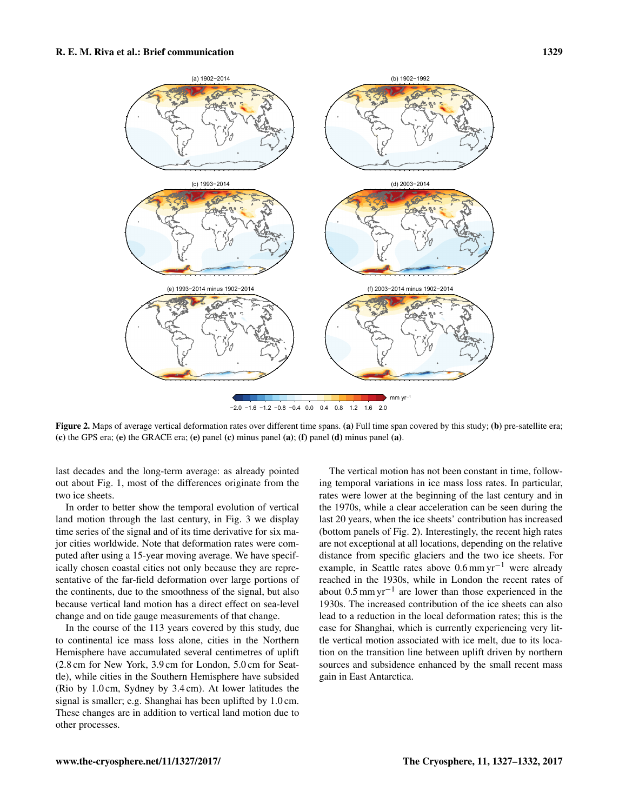

−2.0 −1.6 −1.2 −0.8 −0.4 0.0 0.4 0.8 1.2 1.6 2.0

Figure 2. Maps of average vertical deformation rates over different time spans. (a) Full time span covered by this study; (b) pre-satellite era; (c) the GPS era; (e) the GRACE era; (e) panel (c) minus panel (a); (f) panel (d) minus panel (a).

last decades and the long-term average: as already pointed out about Fig. 1, most of the differences originate from the two ice sheets.

In order to better show the temporal evolution of vertical land motion through the last century, in Fig. 3 we display time series of the signal and of its time derivative for six major cities worldwide. Note that deformation rates were computed after using a 15-year moving average. We have specifically chosen coastal cities not only because they are representative of the far-field deformation over large portions of the continents, due to the smoothness of the signal, but also because vertical land motion has a direct effect on sea-level change and on tide gauge measurements of that change.

In the course of the 113 years covered by this study, due to continental ice mass loss alone, cities in the Northern Hemisphere have accumulated several centimetres of uplift (2.8 cm for New York, 3.9 cm for London, 5.0 cm for Seattle), while cities in the Southern Hemisphere have subsided (Rio by 1.0 cm, Sydney by 3.4 cm). At lower latitudes the signal is smaller; e.g. Shanghai has been uplifted by 1.0 cm. These changes are in addition to vertical land motion due to other processes.

The vertical motion has not been constant in time, following temporal variations in ice mass loss rates. In particular, rates were lower at the beginning of the last century and in the 1970s, while a clear acceleration can be seen during the last 20 years, when the ice sheets' contribution has increased (bottom panels of Fig. 2). Interestingly, the recent high rates are not exceptional at all locations, depending on the relative distance from specific glaciers and the two ice sheets. For example, in Seattle rates above  $0.6$  mm yr<sup>-1</sup> were already reached in the 1930s, while in London the recent rates of about  $0.5$  mm yr<sup>-1</sup> are lower than those experienced in the 1930s. The increased contribution of the ice sheets can also lead to a reduction in the local deformation rates; this is the case for Shanghai, which is currently experiencing very little vertical motion associated with ice melt, due to its location on the transition line between uplift driven by northern sources and subsidence enhanced by the small recent mass gain in East Antarctica.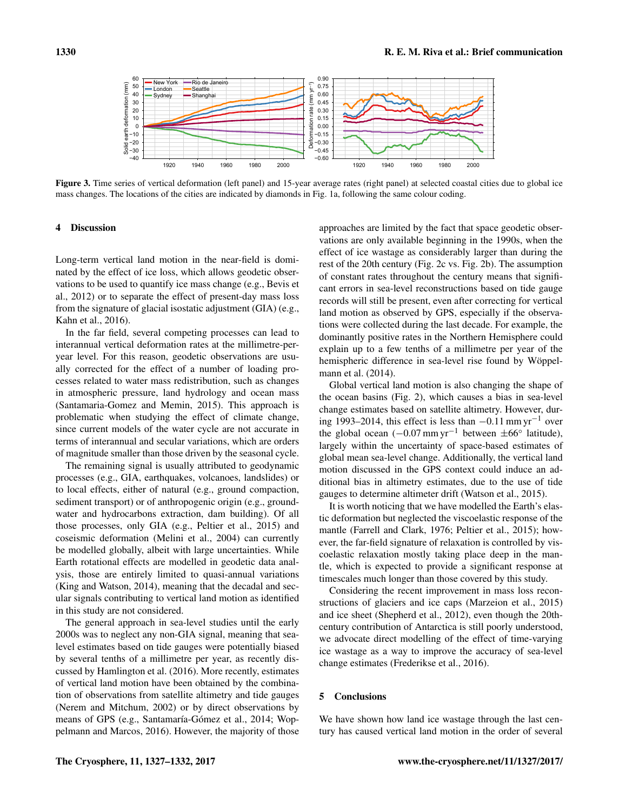

Figure 3. Time series of vertical deformation (left panel) and 15-year average rates (right panel) at selected coastal cities due to global ice mass changes. The locations of the cities are indicated by diamonds in Fig. 1a, following the same colour coding.

# 4 Discussion

Long-term vertical land motion in the near-field is dominated by the effect of ice loss, which allows geodetic observations to be used to quantify ice mass change (e.g., Bevis et al., 2012) or to separate the effect of present-day mass loss from the signature of glacial isostatic adjustment (GIA) (e.g., Kahn et al., 2016).

In the far field, several competing processes can lead to interannual vertical deformation rates at the millimetre-peryear level. For this reason, geodetic observations are usually corrected for the effect of a number of loading processes related to water mass redistribution, such as changes in atmospheric pressure, land hydrology and ocean mass (Santamaria-Gomez and Memin, 2015). This approach is problematic when studying the effect of climate change, since current models of the water cycle are not accurate in terms of interannual and secular variations, which are orders of magnitude smaller than those driven by the seasonal cycle.

The remaining signal is usually attributed to geodynamic processes (e.g., GIA, earthquakes, volcanoes, landslides) or to local effects, either of natural (e.g., ground compaction, sediment transport) or of anthropogenic origin (e.g., groundwater and hydrocarbons extraction, dam building). Of all those processes, only GIA (e.g., Peltier et al., 2015) and coseismic deformation (Melini et al., 2004) can currently be modelled globally, albeit with large uncertainties. While Earth rotational effects are modelled in geodetic data analysis, those are entirely limited to quasi-annual variations (King and Watson, 2014), meaning that the decadal and secular signals contributing to vertical land motion as identified in this study are not considered.

The general approach in sea-level studies until the early 2000s was to neglect any non-GIA signal, meaning that sealevel estimates based on tide gauges were potentially biased by several tenths of a millimetre per year, as recently discussed by Hamlington et al. (2016). More recently, estimates of vertical land motion have been obtained by the combination of observations from satellite altimetry and tide gauges (Nerem and Mitchum, 2002) or by direct observations by means of GPS (e.g., Santamaría-Gómez et al., 2014; Woppelmann and Marcos, 2016). However, the majority of those approaches are limited by the fact that space geodetic observations are only available beginning in the 1990s, when the effect of ice wastage as considerably larger than during the rest of the 20th century (Fig. 2c vs. Fig. 2b). The assumption of constant rates throughout the century means that significant errors in sea-level reconstructions based on tide gauge records will still be present, even after correcting for vertical land motion as observed by GPS, especially if the observations were collected during the last decade. For example, the dominantly positive rates in the Northern Hemisphere could explain up to a few tenths of a millimetre per year of the hemispheric difference in sea-level rise found by Wöppelmann et al. (2014).

Global vertical land motion is also changing the shape of the ocean basins (Fig. 2), which causes a bias in sea-level change estimates based on satellite altimetry. However, during 1993–2014, this effect is less than  $-0.11$  mm yr<sup>-1</sup> over the global ocean  $(-0.07 \text{ mm yr}^{-1}$  between  $\pm 66^\circ$  latitude), largely within the uncertainty of space-based estimates of global mean sea-level change. Additionally, the vertical land motion discussed in the GPS context could induce an additional bias in altimetry estimates, due to the use of tide gauges to determine altimeter drift (Watson et al., 2015).

It is worth noticing that we have modelled the Earth's elastic deformation but neglected the viscoelastic response of the mantle (Farrell and Clark, 1976; Peltier et al., 2015); however, the far-field signature of relaxation is controlled by viscoelastic relaxation mostly taking place deep in the mantle, which is expected to provide a significant response at timescales much longer than those covered by this study.

Considering the recent improvement in mass loss reconstructions of glaciers and ice caps (Marzeion et al., 2015) and ice sheet (Shepherd et al., 2012), even though the 20thcentury contribution of Antarctica is still poorly understood, we advocate direct modelling of the effect of time-varying ice wastage as a way to improve the accuracy of sea-level change estimates (Frederikse et al., 2016).

#### 5 Conclusions

We have shown how land ice wastage through the last century has caused vertical land motion in the order of several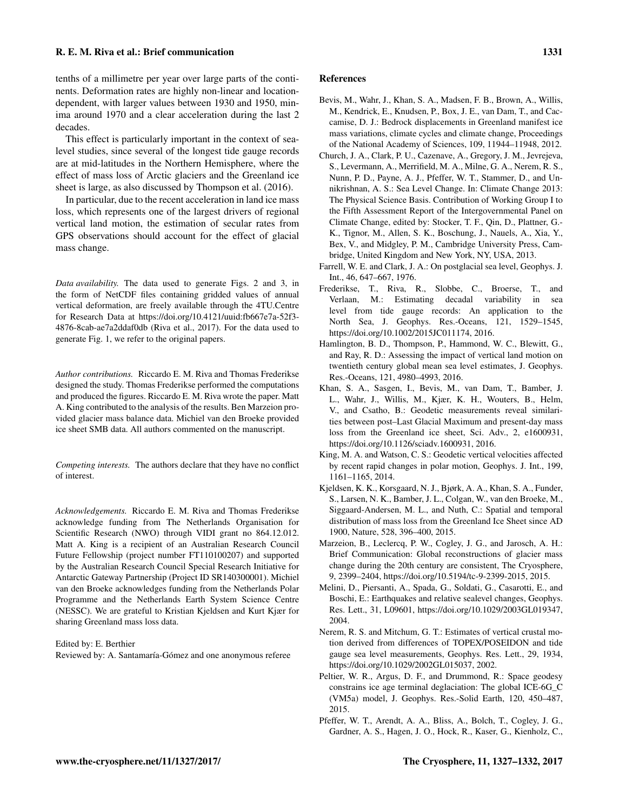#### R. E. M. Riva et al.: Brief communication 1331

tenths of a millimetre per year over large parts of the continents. Deformation rates are highly non-linear and locationdependent, with larger values between 1930 and 1950, minima around 1970 and a clear acceleration during the last 2 decades.

This effect is particularly important in the context of sealevel studies, since several of the longest tide gauge records are at mid-latitudes in the Northern Hemisphere, where the effect of mass loss of Arctic glaciers and the Greenland ice sheet is large, as also discussed by Thompson et al. (2016).

In particular, due to the recent acceleration in land ice mass loss, which represents one of the largest drivers of regional vertical land motion, the estimation of secular rates from GPS observations should account for the effect of glacial mass change.

*Data availability.* The data used to generate Figs. 2 and 3, in the form of NetCDF files containing gridded values of annual vertical deformation, are freely available through the 4TU.Centre for Research Data at https://doi.org[/10.4121/uuid:fb667e7a-52f3-](https://doi.org/10.4121/uuid:fb667e7a-52f3-4876-8cab-ae7a2ddaf0db) [4876-8cab-ae7a2ddaf0db](https://doi.org/10.4121/uuid:fb667e7a-52f3-4876-8cab-ae7a2ddaf0db) (Riva et al., 2017). For the data used to generate Fig. 1, we refer to the original papers.

*Author contributions.* Riccardo E. M. Riva and Thomas Frederikse designed the study. Thomas Frederikse performed the computations and produced the figures. Riccardo E. M. Riva wrote the paper. Matt A. King contributed to the analysis of the results. Ben Marzeion provided glacier mass balance data. Michiel van den Broeke provided ice sheet SMB data. All authors commented on the manuscript.

*Competing interests.* The authors declare that they have no conflict of interest.

*Acknowledgements.* Riccardo E. M. Riva and Thomas Frederikse acknowledge funding from The Netherlands Organisation for Scientific Research (NWO) through VIDI grant no 864.12.012. Matt A. King is a recipient of an Australian Research Council Future Fellowship (project number FT110100207) and supported by the Australian Research Council Special Research Initiative for Antarctic Gateway Partnership (Project ID SR140300001). Michiel van den Broeke acknowledges funding from the Netherlands Polar Programme and the Netherlands Earth System Science Centre (NESSC). We are grateful to Kristian Kjeldsen and Kurt Kjær for sharing Greenland mass loss data.

Edited by: E. Berthier

Reviewed by: A. Santamaría-Gómez and one anonymous referee

#### References

- Bevis, M., Wahr, J., Khan, S. A., Madsen, F. B., Brown, A., Willis, M., Kendrick, E., Knudsen, P., Box, J. E., van Dam, T., and Caccamise, D. J.: Bedrock displacements in Greenland manifest ice mass variations, climate cycles and climate change, Proceedings of the National Academy of Sciences, 109, 11944–11948, 2012.
- Church, J. A., Clark, P. U., Cazenave, A., Gregory, J. M., Jevrejeva, S., Levermann, A., Merrifield, M. A., Milne, G. A., Nerem, R. S., Nunn, P. D., Payne, A. J., Pfeffer, W. T., Stammer, D., and Unnikrishnan, A. S.: Sea Level Change. In: Climate Change 2013: The Physical Science Basis. Contribution of Working Group I to the Fifth Assessment Report of the Intergovernmental Panel on Climate Change, edited by: Stocker, T. F., Qin, D., Plattner, G.- K., Tignor, M., Allen, S. K., Boschung, J., Nauels, A., Xia, Y., Bex, V., and Midgley, P. M., Cambridge University Press, Cambridge, United Kingdom and New York, NY, USA, 2013.
- Farrell, W. E. and Clark, J. A.: On postglacial sea level, Geophys. J. Int., 46, 647–667, 1976.
- Frederikse, T., Riva, R., Slobbe, C., Broerse, T., and Verlaan, M.: Estimating decadal variability in sea level from tide gauge records: An application to the North Sea, J. Geophys. Res.-Oceans, 121, 1529–1545, https://doi.org[/10.1002/2015JC011174,](https://doi.org/10.1002/2015JC011174) 2016.
- Hamlington, B. D., Thompson, P., Hammond, W. C., Blewitt, G., and Ray, R. D.: Assessing the impact of vertical land motion on twentieth century global mean sea level estimates, J. Geophys. Res.-Oceans, 121, 4980–4993, 2016.
- Khan, S. A., Sasgen, I., Bevis, M., van Dam, T., Bamber, J. L., Wahr, J., Willis, M., Kjær, K. H., Wouters, B., Helm, V., and Csatho, B.: Geodetic measurements reveal similarities between post–Last Glacial Maximum and present-day mass loss from the Greenland ice sheet, Sci. Adv., 2, e1600931, https://doi.org[/10.1126/sciadv.1600931,](https://doi.org/10.1126/sciadv.1600931) 2016.
- King, M. A. and Watson, C. S.: Geodetic vertical velocities affected by recent rapid changes in polar motion, Geophys. J. Int., 199, 1161–1165, 2014.
- Kjeldsen, K. K., Korsgaard, N. J., Bjørk, A. A., Khan, S. A., Funder, S., Larsen, N. K., Bamber, J. L., Colgan, W., van den Broeke, M., Siggaard-Andersen, M. L., and Nuth, C.: Spatial and temporal distribution of mass loss from the Greenland Ice Sheet since AD 1900, Nature, 528, 396–400, 2015.
- Marzeion, B., Leclercq, P. W., Cogley, J. G., and Jarosch, A. H.: Brief Communication: Global reconstructions of glacier mass change during the 20th century are consistent, The Cryosphere, 9, 2399–2404, https://doi.org[/10.5194/tc-9-2399-2015,](https://doi.org/10.5194/tc-9-2399-2015) 2015.
- Melini, D., Piersanti, A., Spada, G., Soldati, G., Casarotti, E., and Boschi, E.: Earthquakes and relative sealevel changes, Geophys. Res. Lett., 31, L09601, https://doi.org[/10.1029/2003GL019347,](https://doi.org/10.1029/2003GL019347) 2004.
- Nerem, R. S. and Mitchum, G. T.: Estimates of vertical crustal motion derived from differences of TOPEX/POSEIDON and tide gauge sea level measurements, Geophys. Res. Lett., 29, 1934, https://doi.org[/10.1029/2002GL015037,](https://doi.org/10.1029/2002GL015037) 2002.
- Peltier, W. R., Argus, D. F., and Drummond, R.: Space geodesy constrains ice age terminal deglaciation: The global ICE-6G\_C (VM5a) model, J. Geophys. Res.-Solid Earth, 120, 450–487, 2015.
- Pfeffer, W. T., Arendt, A. A., Bliss, A., Bolch, T., Cogley, J. G., Gardner, A. S., Hagen, J. O., Hock, R., Kaser, G., Kienholz, C.,